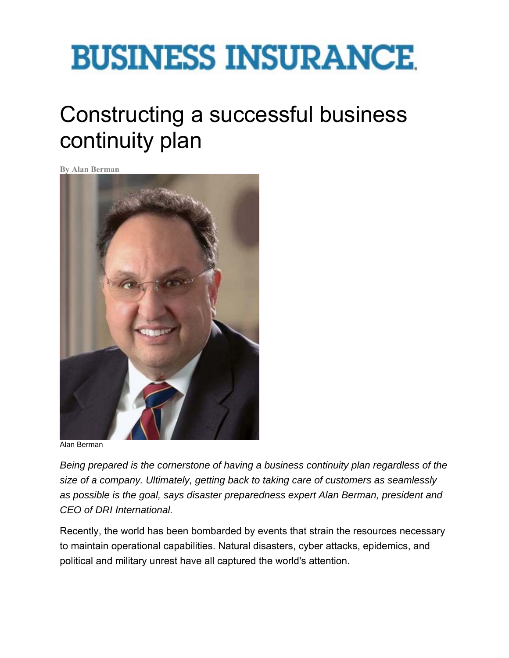# **BUSINESS INSURANCE**

# Constructing a successful business continuity plan

**By Alan Berman** 



Alan Berman

*Being prepared is the cornerstone of having a business continuity plan regardless of the size of a company. Ultimately, getting back to taking care of customers as seamlessly as possible is the goal, says disaster preparedness expert Alan Berman, president and CEO of DRI International.*

Recently, the world has been bombarded by events that strain the resources necessary to maintain operational capabilities. Natural disasters, cyber attacks, epidemics, and political and military unrest have all captured the world's attention.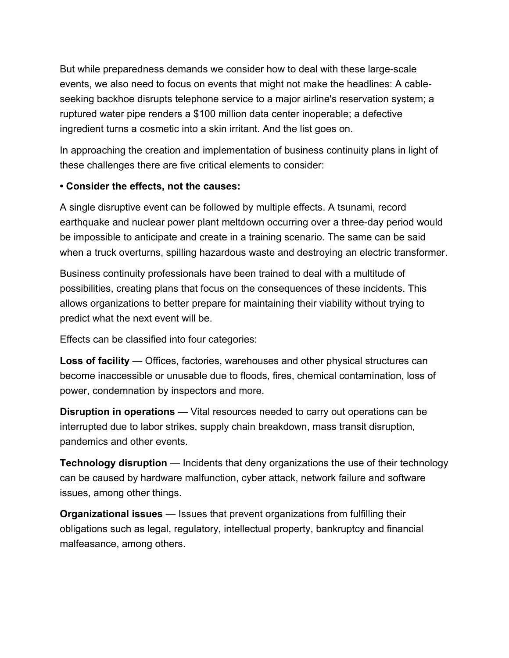But while preparedness demands we consider how to deal with these large-scale events, we also need to focus on events that might not make the headlines: A cableseeking backhoe disrupts telephone service to a major airline's reservation system; a ruptured water pipe renders a \$100 million data center inoperable; a defective ingredient turns a cosmetic into a skin irritant. And the list goes on.

In approaching the creation and implementation of business continuity plans in light of these challenges there are five critical elements to consider:

### **• Consider the effects, not the causes:**

A single disruptive event can be followed by multiple effects. A tsunami, record earthquake and nuclear power plant meltdown occurring over a three-day period would be impossible to anticipate and create in a training scenario. The same can be said when a truck overturns, spilling hazardous waste and destroying an electric transformer.

Business continuity professionals have been trained to deal with a multitude of possibilities, creating plans that focus on the consequences of these incidents. This allows organizations to better prepare for maintaining their viability without trying to predict what the next event will be.

Effects can be classified into four categories:

**Loss of facility** — Offices, factories, warehouses and other physical structures can become inaccessible or unusable due to floods, fires, chemical contamination, loss of power, condemnation by inspectors and more.

**Disruption in operations** — Vital resources needed to carry out operations can be interrupted due to labor strikes, supply chain breakdown, mass transit disruption, pandemics and other events.

**Technology disruption** — Incidents that deny organizations the use of their technology can be caused by hardware malfunction, cyber attack, network failure and software issues, among other things.

**Organizational issues** — Issues that prevent organizations from fulfilling their obligations such as legal, regulatory, intellectual property, bankruptcy and financial malfeasance, among others.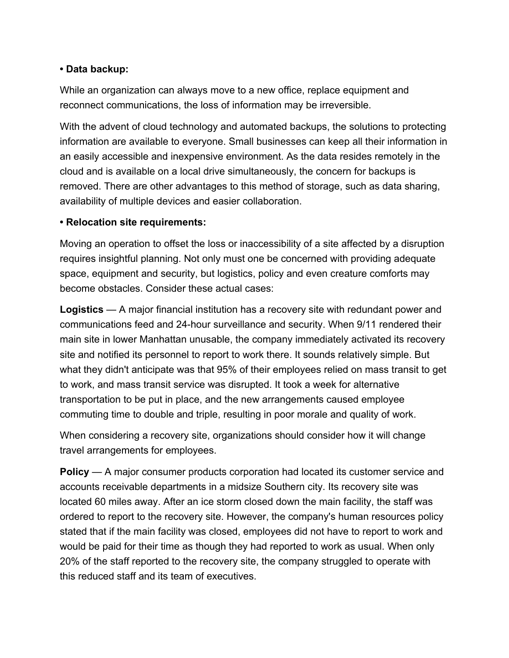## **• Data backup:**

While an organization can always move to a new office, replace equipment and reconnect communications, the loss of information may be irreversible.

With the advent of cloud technology and automated backups, the solutions to protecting information are available to everyone. Small businesses can keep all their information in an easily accessible and inexpensive environment. As the data resides remotely in the cloud and is available on a local drive simultaneously, the concern for backups is removed. There are other advantages to this method of storage, such as data sharing, availability of multiple devices and easier collaboration.

### **• Relocation site requirements:**

Moving an operation to offset the loss or inaccessibility of a site affected by a disruption requires insightful planning. Not only must one be concerned with providing adequate space, equipment and security, but logistics, policy and even creature comforts may become obstacles. Consider these actual cases:

**Logistics** — A major financial institution has a recovery site with redundant power and communications feed and 24-hour surveillance and security. When 9/11 rendered their main site in lower Manhattan unusable, the company immediately activated its recovery site and notified its personnel to report to work there. It sounds relatively simple. But what they didn't anticipate was that 95% of their employees relied on mass transit to get to work, and mass transit service was disrupted. It took a week for alternative transportation to be put in place, and the new arrangements caused employee commuting time to double and triple, resulting in poor morale and quality of work.

When considering a recovery site, organizations should consider how it will change travel arrangements for employees.

**Policy** — A major consumer products corporation had located its customer service and accounts receivable departments in a midsize Southern city. Its recovery site was located 60 miles away. After an ice storm closed down the main facility, the staff was ordered to report to the recovery site. However, the company's human resources policy stated that if the main facility was closed, employees did not have to report to work and would be paid for their time as though they had reported to work as usual. When only 20% of the staff reported to the recovery site, the company struggled to operate with this reduced staff and its team of executives.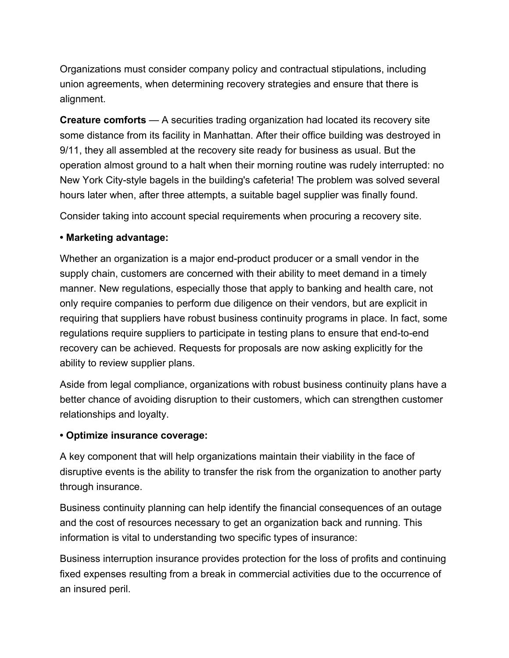Organizations must consider company policy and contractual stipulations, including union agreements, when determining recovery strategies and ensure that there is alignment.

**Creature comforts** — A securities trading organization had located its recovery site some distance from its facility in Manhattan. After their office building was destroyed in 9/11, they all assembled at the recovery site ready for business as usual. But the operation almost ground to a halt when their morning routine was rudely interrupted: no New York City-style bagels in the building's cafeteria! The problem was solved several hours later when, after three attempts, a suitable bagel supplier was finally found.

Consider taking into account special requirements when procuring a recovery site.

#### **• Marketing advantage:**

Whether an organization is a major end-product producer or a small vendor in the supply chain, customers are concerned with their ability to meet demand in a timely manner. New regulations, especially those that apply to banking and health care, not only require companies to perform due diligence on their vendors, but are explicit in requiring that suppliers have robust business continuity programs in place. In fact, some regulations require suppliers to participate in testing plans to ensure that end-to-end recovery can be achieved. Requests for proposals are now asking explicitly for the ability to review supplier plans.

Aside from legal compliance, organizations with robust business continuity plans have a better chance of avoiding disruption to their customers, which can strengthen customer relationships and loyalty.

#### **• Optimize insurance coverage:**

A key component that will help organizations maintain their viability in the face of disruptive events is the ability to transfer the risk from the organization to another party through insurance.

Business continuity planning can help identify the financial consequences of an outage and the cost of resources necessary to get an organization back and running. This information is vital to understanding two specific types of insurance:

Business interruption insurance provides protection for the loss of profits and continuing fixed expenses resulting from a break in commercial activities due to the occurrence of an insured peril.